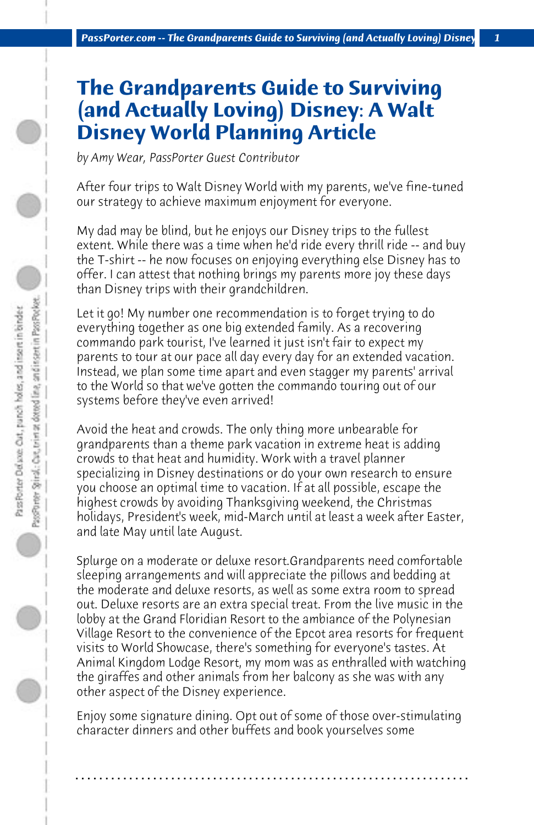## **The Grandparents Guide to Surviving (and Actually Loving) Disney: A Walt Disney World Planning Article**

*by Amy Wear, PassPorter Guest Contributor*

After four trips to Walt Disney World with my parents, we've fine-tuned our strategy to achieve maximum enjoyment for everyone.

My dad may be blind, but he enjoys our Disney trips to the fullest extent. While there was a time when he'd ride every thrill ride -- and buy the T-shirt -- he now focuses on enjoying everything else Disney has to offer. I can attest that nothing brings my parents more joy these days than Disney trips with their grandchildren.

Let it go! My number one recommendation is to forget trying to do everything together as one big extended family. As a recovering commando park tourist, I've learned it just isn't fair to expect my parents to tour at our pace all day every day for an extended vacation. Instead, we plan some time apart and even stagger my parents' arrival to the World so that we've gotten the commando touring out of our systems before they've even arrived!

Avoid the heat and crowds. The only thing more unbearable for grandparents than a theme park vacation in extreme heat is adding crowds to that heat and humidity. Work with a travel planner specializing in Disney destinations or do your own research to ensure you choose an optimal time to vacation. If at all possible, escape the highest crowds by avoiding Thanksgiving weekend, the Christmas holidays, President's week, mid-March until at least a week after Easter, and late May until late August.

Splurge on a moderate or deluxe resort.Grandparents need comfortable sleeping arrangements and will appreciate the pillows and bedding at the moderate and deluxe resorts, as well as some extra room to spread out. Deluxe resorts are an extra special treat. From the live music in the lobby at the Grand Floridian Resort to the ambiance of the Polynesian Village Resort to the convenience of the Epcot area resorts for frequent visits to World Showcase, there's something for everyone's tastes. At Animal Kingdom Lodge Resort, my mom was as enthralled with watching the giraffes and other animals from her balcony as she was with any other aspect of the Disney experience.

Enjoy some signature dining. Opt out of some of those over-stimulating character dinners and other buffets and book yourselves some

**. . . . . . . . . . . . . . . . . . . . . . . . . . . . . . . . . . . . . . . . . . . . . . . . . . . . . . . . . . . . . . . . . .**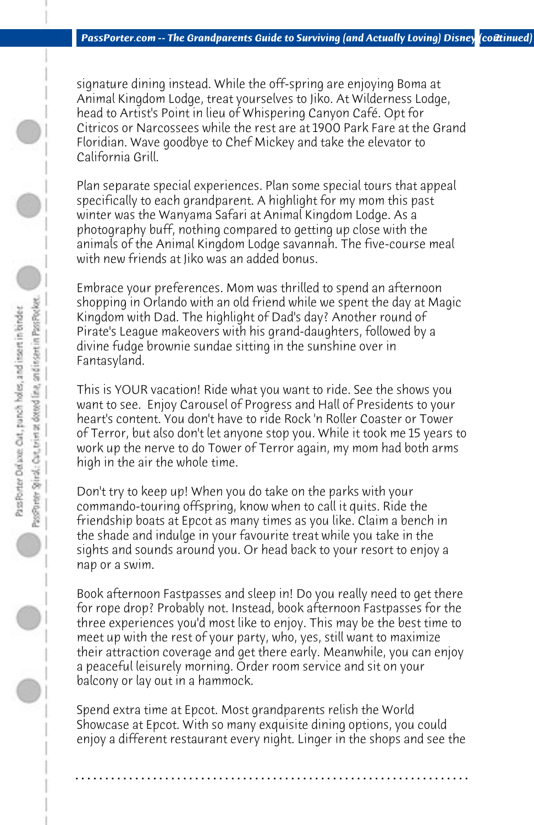signature dining instead. While the off-spring are enjoying Boma at Animal Kingdom Lodge, treat yourselves to Jiko. At Wilderness Lodge, head to Artist's Point in lieu of Whispering Canyon Café. Opt for Citricos or Narcossees while the rest are at 1900 Park Fare at the Grand Floridian. Wave goodbye to Chef Mickey and take the elevator to California Grill.

Plan separate special experiences. Plan some special tours that appeal specifically to each grandparent. A highlight for my mom this past winter was the Wanyama Safari at Animal Kingdom Lodge. As a photography buff, nothing compared to getting up close with the animals of the Animal Kingdom Lodge savannah. The five-course meal with new friends at Jiko was an added bonus.

Embrace your preferences. Mom was thrilled to spend an afternoon shopping in Orlando with an old friend while we spent the day at Magic Kingdom with Dad. The highlight of Dad's day? Another round of Pirate's League makeovers with his grand-daughters, followed by a divine fudge brownie sundae sitting in the sunshine over in Fantasyland.

This is YOUR vacation! Ride what you want to ride. See the shows you want to see. Enjoy Carousel of Progress and Hall of Presidents to your heart's content. You don't have to ride Rock 'n Roller Coaster or Tower of Terror, but also don't let anyone stop you. While it took me 15 years to work up the nerve to do Tower of Terror again, my mom had both arms high in the air the whole time.

Don't try to keep up! When you do take on the parks with your commando-touring offspring, know when to call it quits. Ride the friendship boats at Epcot as many times as you like. Claim a bench in the shade and indulge in your favourite treat while you take in the sights and sounds around you. Or head back to your resort to enjoy a nap or a swim.

Book afternoon Fastpasses and sleep in! Do you really need to get there for rope drop? Probably not. Instead, book afternoon Fastpasses for the three experiences you'd most like to enjoy. This may be the best time to meet up with the rest of your party, who, yes, still want to maximize their attraction coverage and get there early. Meanwhile, you can enjoy a peaceful leisurely morning. Order room service and sit on your balcony or lay out in a hammock.

Spend extra time at Epcot. Most grandparents relish the World Showcase at Epcot. With so many exquisite dining options, you could enjoy a different restaurant every night. Linger in the shops and see the

**. . . . . . . . . . . . . . . . . . . . . . . . . . . . . . . . . . . . . . . . . . . . . . . . . . . . . . . . . . . . . . . . . .**